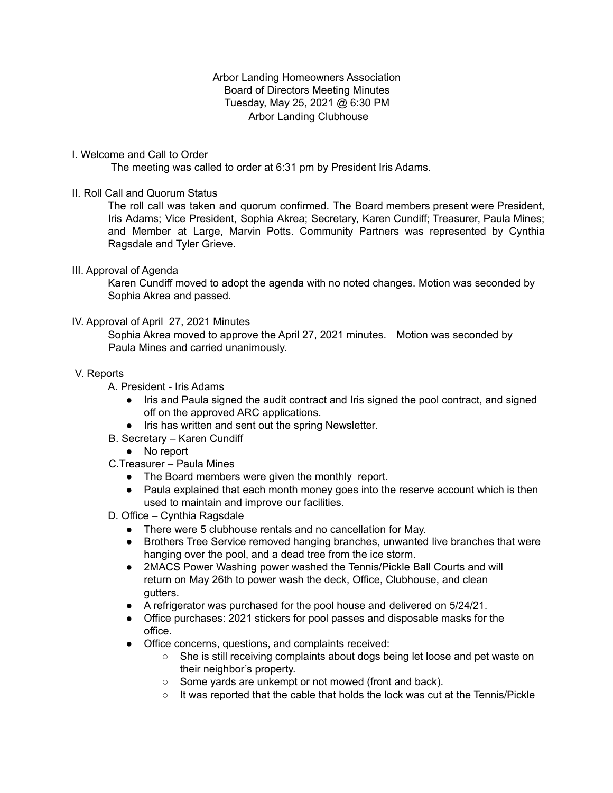## Arbor Landing Homeowners Association Board of Directors Meeting Minutes Tuesday, May 25, 2021 @ 6:30 PM Arbor Landing Clubhouse

## I. Welcome and Call to Order

The meeting was called to order at 6:31 pm by President Iris Adams.

## II. Roll Call and Quorum Status

The roll call was taken and quorum confirmed. The Board members present were President, Iris Adams; Vice President, Sophia Akrea; Secretary, Karen Cundiff; Treasurer, Paula Mines; and Member at Large, Marvin Potts. Community Partners was represented by Cynthia Ragsdale and Tyler Grieve.

### III. Approval of Agenda

Karen Cundiff moved to adopt the agenda with no noted changes. Motion was seconded by Sophia Akrea and passed.

## IV. Approval of April 27, 2021 Minutes

Sophia Akrea moved to approve the April 27, 2021 minutes. Motion was seconded by Paula Mines and carried unanimously.

### V. Reports

A. President - Iris Adams

- Iris and Paula signed the audit contract and Iris signed the pool contract, and signed off on the approved ARC applications.
- Iris has written and sent out the spring Newsletter.
- B. Secretary Karen Cundiff
	- No report
- C.Treasurer Paula Mines
	- The Board members were given the monthly report.
	- Paula explained that each month money goes into the reserve account which is then used to maintain and improve our facilities.
- D. Office Cynthia Ragsdale
	- There were 5 clubhouse rentals and no cancellation for May.
	- Brothers Tree Service removed hanging branches, unwanted live branches that were hanging over the pool, and a dead tree from the ice storm.
	- 2MACS Power Washing power washed the Tennis/Pickle Ball Courts and will return on May 26th to power wash the deck, Office, Clubhouse, and clean gutters.
	- A refrigerator was purchased for the pool house and delivered on 5/24/21.
	- Office purchases: 2021 stickers for pool passes and disposable masks for the office.
	- Office concerns, questions, and complaints received:
		- She is still receiving complaints about dogs being let loose and pet waste on their neighbor's property.
		- Some yards are unkempt or not mowed (front and back).
		- It was reported that the cable that holds the lock was cut at the Tennis/Pickle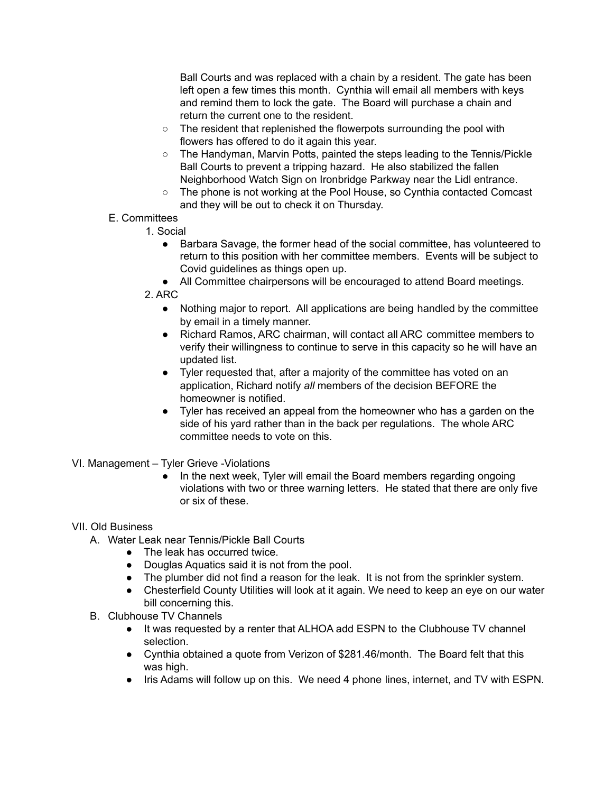Ball Courts and was replaced with a chain by a resident. The gate has been left open a few times this month. Cynthia will email all members with keys and remind them to lock the gate. The Board will purchase a chain and return the current one to the resident.

- The resident that replenished the flowerpots surrounding the pool with flowers has offered to do it again this year.
- The Handyman, Marvin Potts, painted the steps leading to the Tennis/Pickle Ball Courts to prevent a tripping hazard. He also stabilized the fallen Neighborhood Watch Sign on Ironbridge Parkway near the Lidl entrance.
- The phone is not working at the Pool House, so Cynthia contacted Comcast and they will be out to check it on Thursday.

# E. Committees

- 1. Social
	- Barbara Savage, the former head of the social committee, has volunteered to return to this position with her committee members. Events will be subject to Covid guidelines as things open up.
	- All Committee chairpersons will be encouraged to attend Board meetings.
- 2. ARC
	- Nothing major to report. All applications are being handled by the committee by email in a timely manner.
	- Richard Ramos, ARC chairman, will contact all ARC committee members to verify their willingness to continue to serve in this capacity so he will have an updated list.
	- Tyler requested that, after a majority of the committee has voted on an application, Richard notify *all* members of the decision BEFORE the homeowner is notified.
	- Tyler has received an appeal from the homeowner who has a garden on the side of his yard rather than in the back per regulations. The whole ARC committee needs to vote on this.
- VI. Management Tyler Grieve -Violations
	- In the next week, Tyler will email the Board members regarding ongoing violations with two or three warning letters. He stated that there are only five or six of these.

## VII. Old Business

- A. Water Leak near Tennis/Pickle Ball Courts
	- The leak has occurred twice.
	- Douglas Aquatics said it is not from the pool.
	- The plumber did not find a reason for the leak. It is not from the sprinkler system.
	- Chesterfield County Utilities will look at it again. We need to keep an eye on our water bill concerning this.
- B. Clubhouse TV Channels
	- It was requested by a renter that ALHOA add ESPN to the Clubhouse TV channel selection.
	- Cynthia obtained a quote from Verizon of \$281.46/month. The Board felt that this was high.
	- Iris Adams will follow up on this. We need 4 phone lines, internet, and TV with ESPN.